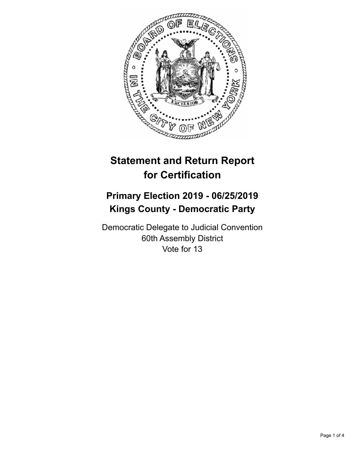

# **Statement and Return Report for Certification**

## **Primary Election 2019 - 06/25/2019 Kings County - Democratic Party**

Democratic Delegate to Judicial Convention 60th Assembly District Vote for 13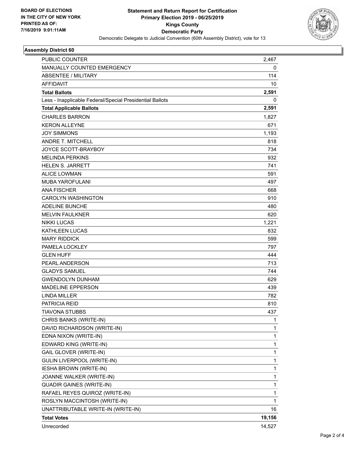

#### **Assembly District 60**

| <b>PUBLIC COUNTER</b>                                    | 2.467        |
|----------------------------------------------------------|--------------|
| MANUALLY COUNTED EMERGENCY                               | 0            |
| <b>ABSENTEE / MILITARY</b>                               | 114          |
| <b>AFFIDAVIT</b>                                         | 10           |
| <b>Total Ballots</b>                                     | 2,591        |
| Less - Inapplicable Federal/Special Presidential Ballots | 0            |
| <b>Total Applicable Ballots</b>                          | 2,591        |
| <b>CHARLES BARRON</b>                                    | 1,827        |
| <b>KERON ALLEYNE</b>                                     | 671          |
| <b>JOY SIMMONS</b>                                       | 1,193        |
| ANDRE T. MITCHELL                                        | 818          |
| JOYCE SCOTT-BRAYBOY                                      | 734          |
| <b>MELINDA PERKINS</b>                                   | 932          |
| <b>HELEN S. JARRETT</b>                                  | 741          |
| <b>ALICE LOWMAN</b>                                      | 591          |
| <b>MUBA YAROFULANI</b>                                   | 497          |
| <b>ANA FISCHER</b>                                       | 668          |
| <b>CAROLYN WASHINGTON</b>                                | 910          |
| <b>ADELINE BUNCHE</b>                                    | 480          |
| <b>MELVIN FAULKNER</b>                                   | 620          |
| <b>NIKKI LUCAS</b>                                       | 1,221        |
| KATHLEEN LUCAS                                           | 832          |
| <b>MARY RIDDICK</b>                                      | 599          |
| PAMELA LOCKLEY                                           | 797          |
| <b>GLEN HUFF</b>                                         | 444          |
| PEARL ANDERSON                                           | 713          |
| <b>GLADYS SAMUEL</b>                                     | 744          |
| <b>GWENDOLYN DUNHAM</b>                                  | 629          |
| <b>MADELINE EPPERSON</b>                                 | 439          |
| <b>LINDA MILLER</b>                                      | 782          |
| PATRICIA REID                                            | 810          |
| TIAVONA STUBBS                                           | 437          |
| CHRIS BANKS (WRITE-IN)                                   | 1            |
| DAVID RICHARDSON (WRITE-IN)                              | $\mathbf{1}$ |
| EDNA NIXON (WRITE-IN)                                    | $\mathbf 1$  |
| EDWARD KING (WRITE-IN)                                   | $\mathbf{1}$ |
| GAIL GLOVER (WRITE-IN)                                   | $\mathbf{1}$ |
| GULIN LIVERPOOL (WRITE-IN)                               | 1            |
| <b>IESHA BROWN (WRITE-IN)</b>                            | $\mathbf{1}$ |
| JOANNE WALKER (WRITE-IN)                                 | $\mathbf{1}$ |
| <b>QUADIR GAINES (WRITE-IN)</b>                          | $\mathbf 1$  |
| RAFAEL REYES QUIROZ (WRITE-IN)                           | $\mathbf 1$  |
| ROSLYN MACCINTOSH (WRITE-IN)                             | 1            |
| UNATTRIBUTABLE WRITE-IN (WRITE-IN)                       | 16           |
| <b>Total Votes</b>                                       | 19,156       |
| Unrecorded                                               | 14,527       |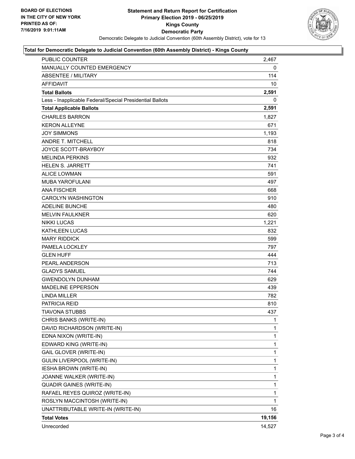

#### **Total for Democratic Delegate to Judicial Convention (60th Assembly District) - Kings County**

| PUBLIC COUNTER                                           | 2,467  |
|----------------------------------------------------------|--------|
| <b>MANUALLY COUNTED EMERGENCY</b>                        | 0      |
| <b>ABSENTEE / MILITARY</b>                               | 114    |
| <b>AFFIDAVIT</b>                                         | 10     |
| <b>Total Ballots</b>                                     | 2,591  |
| Less - Inapplicable Federal/Special Presidential Ballots | 0      |
| <b>Total Applicable Ballots</b>                          | 2,591  |
| <b>CHARLES BARRON</b>                                    | 1,827  |
| <b>KERON ALLEYNE</b>                                     | 671    |
| <b>JOY SIMMONS</b>                                       | 1,193  |
| <b>ANDRE T. MITCHELL</b>                                 | 818    |
| JOYCE SCOTT-BRAYBOY                                      | 734    |
| <b>MELINDA PERKINS</b>                                   | 932    |
| <b>HELEN S. JARRETT</b>                                  | 741    |
| <b>ALICE LOWMAN</b>                                      | 591    |
| <b>MUBA YAROFULANI</b>                                   | 497    |
| <b>ANA FISCHER</b>                                       | 668    |
| <b>CAROLYN WASHINGTON</b>                                | 910    |
| <b>ADELINE BUNCHE</b>                                    | 480    |
| <b>MELVIN FAULKNER</b>                                   | 620    |
| <b>NIKKI LUCAS</b>                                       | 1,221  |
| <b>KATHLEEN LUCAS</b>                                    | 832    |
| <b>MARY RIDDICK</b>                                      | 599    |
| PAMELA LOCKLEY                                           | 797    |
| <b>GLEN HUFF</b>                                         | 444    |
| PEARL ANDERSON                                           | 713    |
| <b>GLADYS SAMUEL</b>                                     | 744    |
| <b>GWENDOLYN DUNHAM</b>                                  | 629    |
| <b>MADELINE EPPERSON</b>                                 | 439    |
| <b>LINDA MILLER</b>                                      | 782    |
| <b>PATRICIA REID</b>                                     | 810    |
| TIAVONA STUBBS                                           | 437    |
| CHRIS BANKS (WRITE-IN)                                   | 1      |
| DAVID RICHARDSON (WRITE-IN)                              | 1      |
| EDNA NIXON (WRITE-IN)                                    | 1      |
| EDWARD KING (WRITE-IN)                                   | 1      |
| GAIL GLOVER (WRITE-IN)                                   | 1      |
| <b>GULIN LIVERPOOL (WRITE-IN)</b>                        | 1      |
| <b>IESHA BROWN (WRITE-IN)</b>                            | 1      |
| JOANNE WALKER (WRITE-IN)                                 | 1      |
| <b>QUADIR GAINES (WRITE-IN)</b>                          | 1      |
| RAFAEL REYES QUIROZ (WRITE-IN)                           | 1      |
| ROSLYN MACCINTOSH (WRITE-IN)                             | 1      |
| UNATTRIBUTABLE WRITE-IN (WRITE-IN)                       | 16     |
| <b>Total Votes</b>                                       | 19,156 |
| Unrecorded                                               | 14,527 |